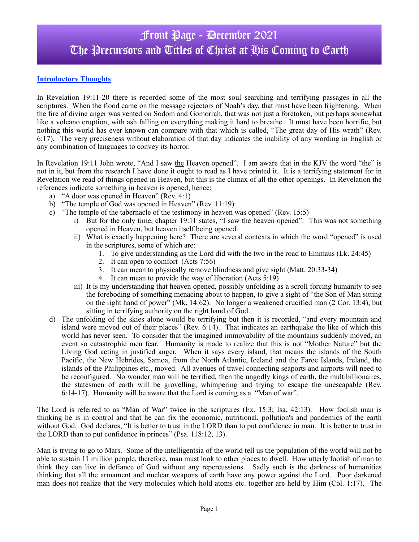## Front Page - December 2021 The Precursors and Titles of Christ at His Coming to Earth

### **Introductory Thoughts**

In Revelation 19:11-20 there is recorded some of the most soul searching and terrifying passages in all the scriptures. When the flood came on the message rejectors of Noah's day, that must have been frightening. When the fire of divine anger was vented on Sodom and Gomorrah, that was not just a foretoken, but perhaps somewhat like a volcano eruption, with ash falling on everything making it hard to breathe. It must have been horrific, but nothing this world has ever known can compare with that which is called, "The great day of His wrath" (Rev. 6:17). The very preciseness without elaboration of that day indicates the inability of any wording in English or any combination of languages to convey its horror.

In Revelation 19:11 John wrote, "And I saw the Heaven opened". I am aware that in the KJV the word "the" is not in it, but from the research I have done it ought to read as I have printed it. It is a terrifying statement for in Revelation we read of things opened in Heaven, but this is the climax of all the other openings. In Revelation the references indicate something in heaven is opened, hence:

- a) "A door was opened in Heaven" (Rev. 4:1)
- b) "The temple of God was opened in Heaven" (Rev. 11:19)
- c) "The temple of the tabernacle of the testimony in heaven was opened" (Rev. 15:5)
	- i) But for the only time, chapter 19:11 states, "I saw the heaven opened". This was not something opened in Heaven, but heaven itself being opened.
	- ii) What is exactly happening here? There are several contexts in which the word "opened" is used in the scriptures, some of which are:
		- 1. To give understanding as the Lord did with the two in the road to Emmaus (Lk. 24:45)
		- 2. It can open to comfort (Acts 7:56)
		- 3. It can mean to physically remove blindness and give sight (Matt. 20:33-34)
		- 4. It can mean to provide the way of liberation (Acts 5:19)
	- iii) It is my understanding that heaven opened, possibly unfolding as a scroll forcing humanity to see the foreboding of something menacing about to happen, to give a sight of "the Son of Man sitting on the right hand of power" (Mk. 14:62). No longer a weakened crucified man (2 Cor. 13:4), but sitting in terrifying authority on the right hand of God.
- d) The unfolding of the skies alone would be terrifying but then it is recorded, "and every mountain and island were moved out of their places" (Rev. 6:14). That indicates an earthquake the like of which this world has never seen. To consider that the imagined immovability of the mountains suddenly moved, an event so catastrophic men fear. Humanity is made to realize that this is not "Mother Nature" but the Living God acting in justified anger. When it says every island, that means the islands of the South Pacific, the New Hebrides, Samoa, from the North Atlantic, Iceland and the Faroe Islands, Ireland, the islands of the Philippines etc., moved. All avenues of travel connecting seaports and airports will need to be reconfigured. No wonder man will be terrified, then the ungodly kings of earth, the multibillionaires, the statesmen of earth will be grovelling, whimpering and trying to escape the unescapable (Rev. 6:14-17). Humanity will be aware that the Lord is coming as a "Man of war".

The Lord is referred to as "Man of War" twice in the scriptures (Ex. 15:3; Isa. 42:13). How foolish man is thinking he is in control and that he can fix the economic, nutritional, pollution's and pandemics of the earth without God. God declares, "It is better to trust in the LORD than to put confidence in man. It is better to trust in the LORD than to put confidence in princes" (Psa. 118:12, 13).

Man is trying to go to Mars. Some of the intelligentsia of the world tell us the population of the world will not be able to sustain 11 million people, therefore, man must look to other places to dwell. How utterly foolish of man to think they can live in defiance of God without any repercussions. Sadly such is the darkness of humanities thinking that all the armament and nuclear weapons of earth have any power against the Lord. Poor darkened man does not realize that the very molecules which hold atoms etc. together are held by Him (Col. 1:17). The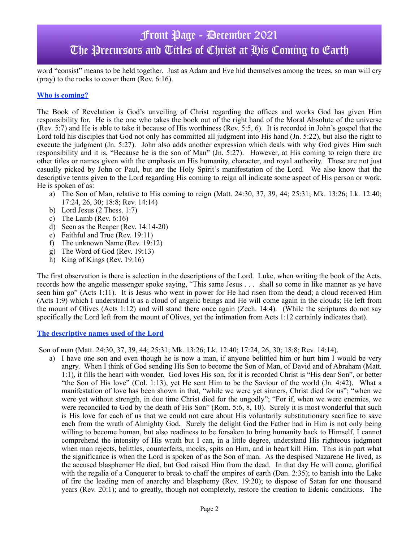## Front Page - December 2021 The Precursors and Titles of Christ at His Coming to Earth

word "consist" means to be held together. Just as Adam and Eve hid themselves among the trees, so man will cry (pray) to the rocks to cover them (Rev. 6:16).

#### **Who is coming?**

The Book of Revelation is God's unveiling of Christ regarding the offices and works God has given Him responsibility for. He is the one who takes the book out of the right hand of the Moral Absolute of the universe (Rev. 5:7) and He is able to take it because of His worthiness (Rev. 5:5, 6). It is recorded in John's gospel that the Lord told his disciples that God not only has committed all judgment into His hand (Jn. 5:22), but also the right to execute the judgment (Jn. 5:27). John also adds another expression which deals with why God gives Him such responsibility and it is, "Because he is the son of Man" (Jn. 5:27). However, at His coming to reign there are other titles or names given with the emphasis on His humanity, character, and royal authority. These are not just casually picked by John or Paul, but are the Holy Spirit's manifestation of the Lord. We also know that the descriptive terms given to the Lord regarding His coming to reign all indicate some aspect of His person or work. He is spoken of as:

- a) The Son of Man, relative to His coming to reign (Matt. 24:30, 37, 39, 44; 25:31; Mk. 13:26; Lk. 12:40; 17:24, 26, 30; 18:8; Rev. 14:14)
- b) Lord Jesus (2 Thess. 1:7)
- c) The Lamb (Rev. 6:16)
- d) Seen as the Reaper (Rev. 14:14-20)
- e) Faithful and True (Rev. 19:11)
- f) The unknown Name (Rev. 19:12)
- g) The Word of God (Rev. 19:13)
- h) King of Kings (Rev. 19:16)

The first observation is there is selection in the descriptions of the Lord. Luke, when writing the book of the Acts, records how the angelic messenger spoke saying, "This same Jesus . . . shall so come in like manner as ye have seen him go" (Acts 1:11). It is Jesus who went in power for He had risen from the dead; a cloud received Him (Acts 1:9) which I understand it as a cloud of angelic beings and He will come again in the clouds; He left from the mount of Olives (Acts 1:12) and will stand there once again (Zech. 14:4). (While the scriptures do not say specifically the Lord left from the mount of Olives, yet the intimation from Acts 1:12 certainly indicates that).

#### **The descriptive names used of the Lord**

Son of man (Matt. 24:30, 37, 39, 44; 25:31; Mk. 13:26; Lk. 12:40; 17:24, 26, 30; 18:8; Rev. 14:14).

a) I have one son and even though he is now a man, if anyone belittled him or hurt him I would be very angry. When I think of God sending His Son to become the Son of Man, of David and of Abraham (Matt. 1:1), it fills the heart with wonder. God loves His son, for it is recorded Christ is "His dear Son", or better "the Son of His love" (Col. 1:13), yet He sent Him to be the Saviour of the world (Jn. 4:42). What a manifestation of love has been shown in that, "while we were yet sinners, Christ died for us"; "when we were yet without strength, in due time Christ died for the ungodly"; "For if, when we were enemies, we were reconciled to God by the death of His Son" (Rom. 5:6, 8, 10). Surely it is most wonderful that such is His love for each of us that we could not care about His voluntarily substitutionary sacrifice to save each from the wrath of Almighty God. Surely the delight God the Father had in Him is not only being willing to become human, but also readiness to be forsaken to bring humanity back to Himself. I cannot comprehend the intensity of His wrath but I can, in a little degree, understand His righteous judgment when man rejects, belittles, counterfeits, mocks, spits on Him, and in heart kill Him. This is in part what the significance is when the Lord is spoken of as the Son of man. As the despised Nazarene He lived, as the accused blasphemer He died, but God raised Him from the dead. In that day He will come, glorified with the regalia of a Conquerer to break to chaff the empires of earth (Dan. 2:35); to banish into the Lake of fire the leading men of anarchy and blasphemy (Rev. 19:20); to dispose of Satan for one thousand years (Rev. 20:1); and to greatly, though not completely, restore the creation to Edenic conditions. The